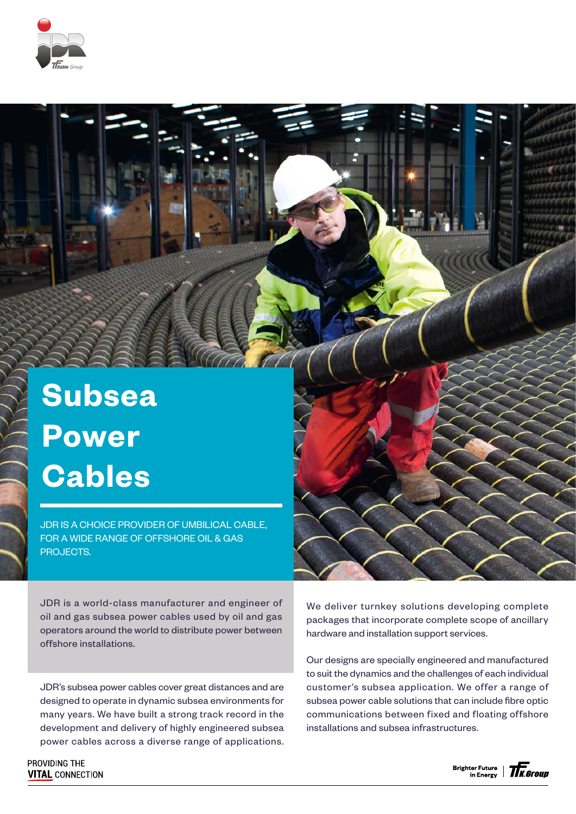

## **Subsea Power Cables**

JDR IS A CHOICE PROVIDER OF UMBILICAL CABLE, FOR A WIDE RANGE OF OFFSHORE OIL & GAS PROJECTS.

JDR is a world-class manufacturer and engineer of oil and gas subsea power cables used by oil and gas operators around the world to distribute power between offshore installations.

JDR's subsea power cables cover great distances and are designed to operate in dynamic subsea environments for many years. We have built a strong track record in the development and delivery of highly engineered subsea power cables across a diverse range of applications.

PROVIDING THE **VITAL CONNECTION**  We deliver turnkey solutions developing complete packages that incorporate complete scope of ancillary hardware and installation support services.

Our designs are specially engineered and manufactured to suit the dynamics and the challenges of each individual customer's subsea application. We offer a range of subsea power cable solutions that can include fibre optic communications between fixed and floating offshore installations and subsea infrastructures.